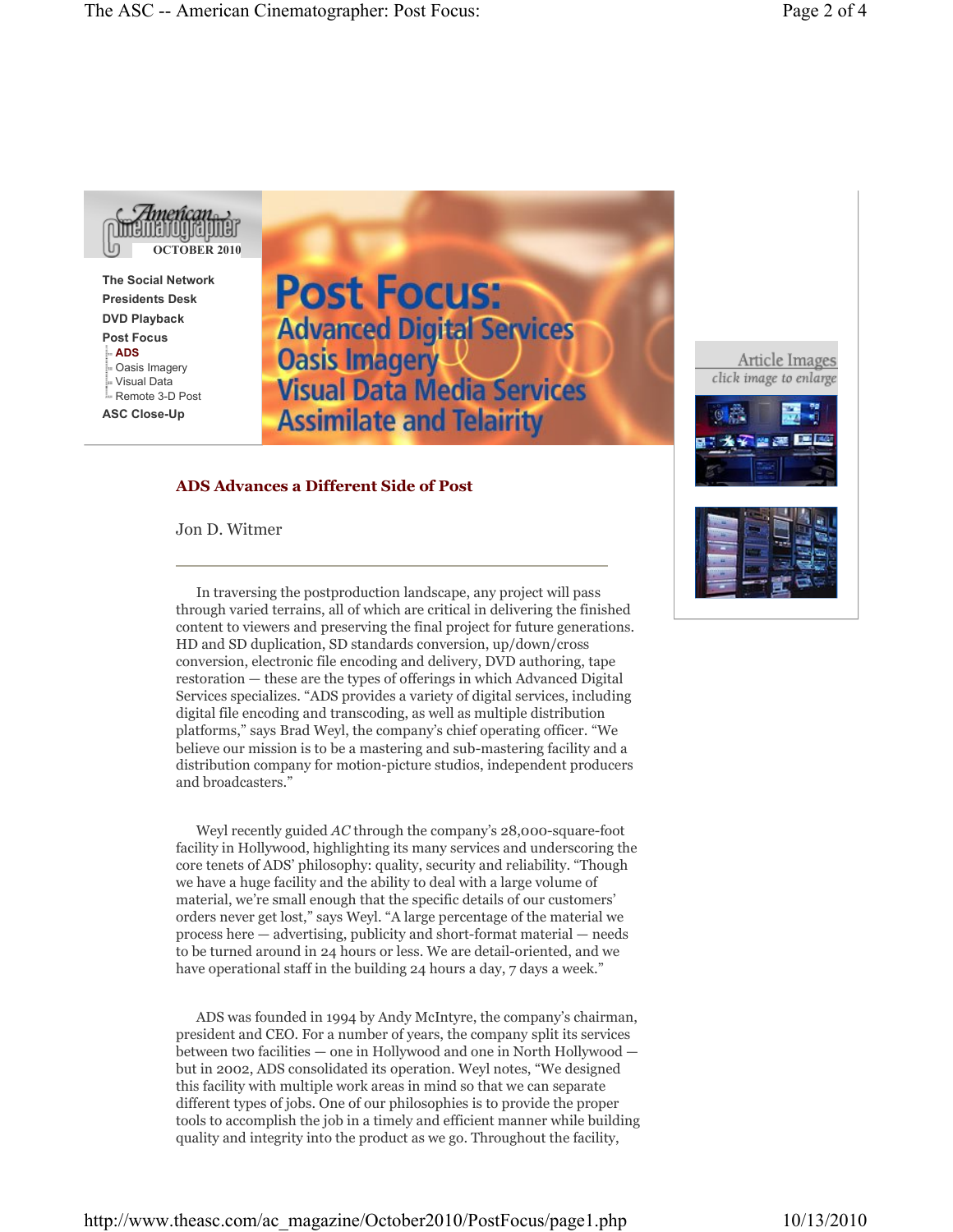

**The Social Network Presidents Desk DVD Playback Post Focus ADS** Oasis Imagery Visual Data Remote 3-D Post **ASC Close-Up**

**Post Focus: Advanced Digital Services Oasis Imagery Visual Data Media Services Assimilate and Telairity** 

## **ADS Advances a Different Side of Post**

Jon D. Witmer

In traversing the postproduction landscape, any project will pass through varied terrains, all of which are critical in delivering the finished content to viewers and preserving the final project for future generations. HD and SD duplication, SD standards conversion, up/down/cross conversion, electronic file encoding and delivery, DVD authoring, tape restoration — these are the types of offerings in which Advanced Digital Services specializes. "ADS provides a variety of digital services, including digital file encoding and transcoding, as well as multiple distribution platforms," says Brad Weyl, the company's chief operating officer. "We believe our mission is to be a mastering and sub-mastering facility and a distribution company for motion-picture studios, independent producers and broadcasters."

Weyl recently guided *AC* through the company's 28,000-square-foot facility in Hollywood, highlighting its many services and underscoring the core tenets of ADS' philosophy: quality, security and reliability. "Though we have a huge facility and the ability to deal with a large volume of material, we're small enough that the specific details of our customers' orders never get lost," says Weyl. "A large percentage of the material we process here — advertising, publicity and short-format material — needs to be turned around in 24 hours or less. We are detail-oriented, and we have operational staff in the building 24 hours a day, 7 days a week."

ADS was founded in 1994 by Andy McIntyre, the company's chairman, president and CEO. For a number of years, the company split its services between two facilities — one in Hollywood and one in North Hollywood but in 2002, ADS consolidated its operation. Weyl notes, "We designed this facility with multiple work areas in mind so that we can separate different types of jobs. One of our philosophies is to provide the proper tools to accomplish the job in a timely and efficient manner while building quality and integrity into the product as we go. Throughout the facility,

Article Images click image to enlarge



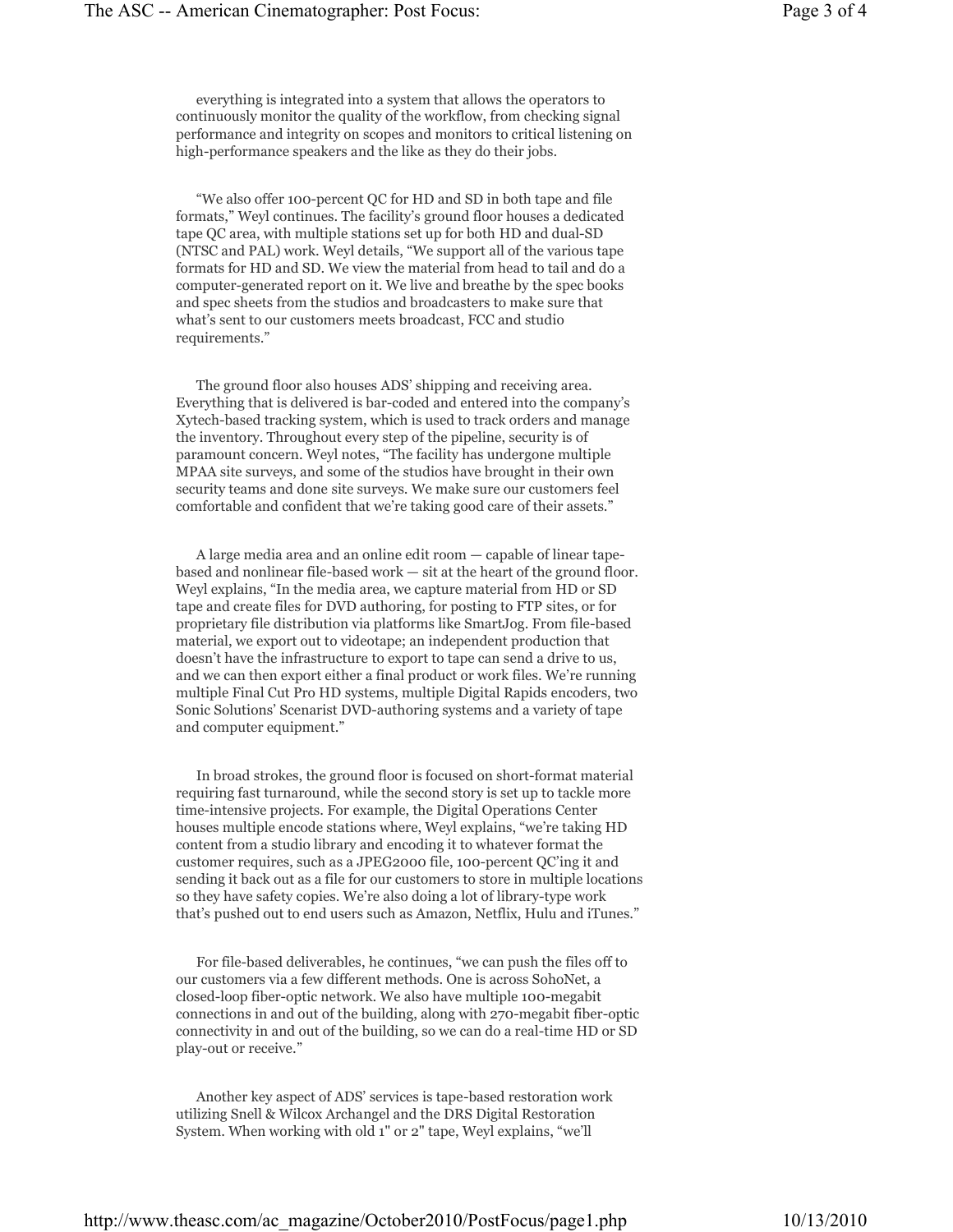everything is integrated into a system that allows the operators to continuously monitor the quality of the workflow, from checking signal performance and integrity on scopes and monitors to critical listening on high-performance speakers and the like as they do their jobs.

"We also offer 100-percent QC for HD and SD in both tape and file formats," Weyl continues. The facility's ground floor houses a dedicated tape QC area, with multiple stations set up for both HD and dual-SD (NTSC and PAL) work. Weyl details, "We support all of the various tape formats for HD and SD. We view the material from head to tail and do a computer-generated report on it. We live and breathe by the spec books and spec sheets from the studios and broadcasters to make sure that what's sent to our customers meets broadcast, FCC and studio requirements."

The ground floor also houses ADS' shipping and receiving area. Everything that is delivered is bar-coded and entered into the company's Xytech-based tracking system, which is used to track orders and manage the inventory. Throughout every step of the pipeline, security is of paramount concern. Weyl notes, "The facility has undergone multiple MPAA site surveys, and some of the studios have brought in their own security teams and done site surveys. We make sure our customers feel comfortable and confident that we're taking good care of their assets."

A large media area and an online edit room — capable of linear tapebased and nonlinear file-based work — sit at the heart of the ground floor. Weyl explains, "In the media area, we capture material from HD or SD tape and create files for DVD authoring, for posting to FTP sites, or for proprietary file distribution via platforms like SmartJog. From file-based material, we export out to videotape; an independent production that doesn't have the infrastructure to export to tape can send a drive to us, and we can then export either a final product or work files. We're running multiple Final Cut Pro HD systems, multiple Digital Rapids encoders, two Sonic Solutions' Scenarist DVD-authoring systems and a variety of tape and computer equipment."

In broad strokes, the ground floor is focused on short-format material requiring fast turnaround, while the second story is set up to tackle more time-intensive projects. For example, the Digital Operations Center houses multiple encode stations where, Weyl explains, "we're taking HD content from a studio library and encoding it to whatever format the customer requires, such as a JPEG2000 file, 100-percent QC'ing it and sending it back out as a file for our customers to store in multiple locations so they have safety copies. We're also doing a lot of library-type work that's pushed out to end users such as Amazon, Netflix, Hulu and iTunes."

For file-based deliverables, he continues, "we can push the files off to our customers via a few different methods. One is across SohoNet, a closed-loop fiber-optic network. We also have multiple 100-megabit connections in and out of the building, along with 270-megabit fiber-optic connectivity in and out of the building, so we can do a real-time HD or SD play-out or receive."

Another key aspect of ADS' services is tape-based restoration work utilizing Snell & Wilcox Archangel and the DRS Digital Restoration System. When working with old 1" or 2" tape, Weyl explains, "we'll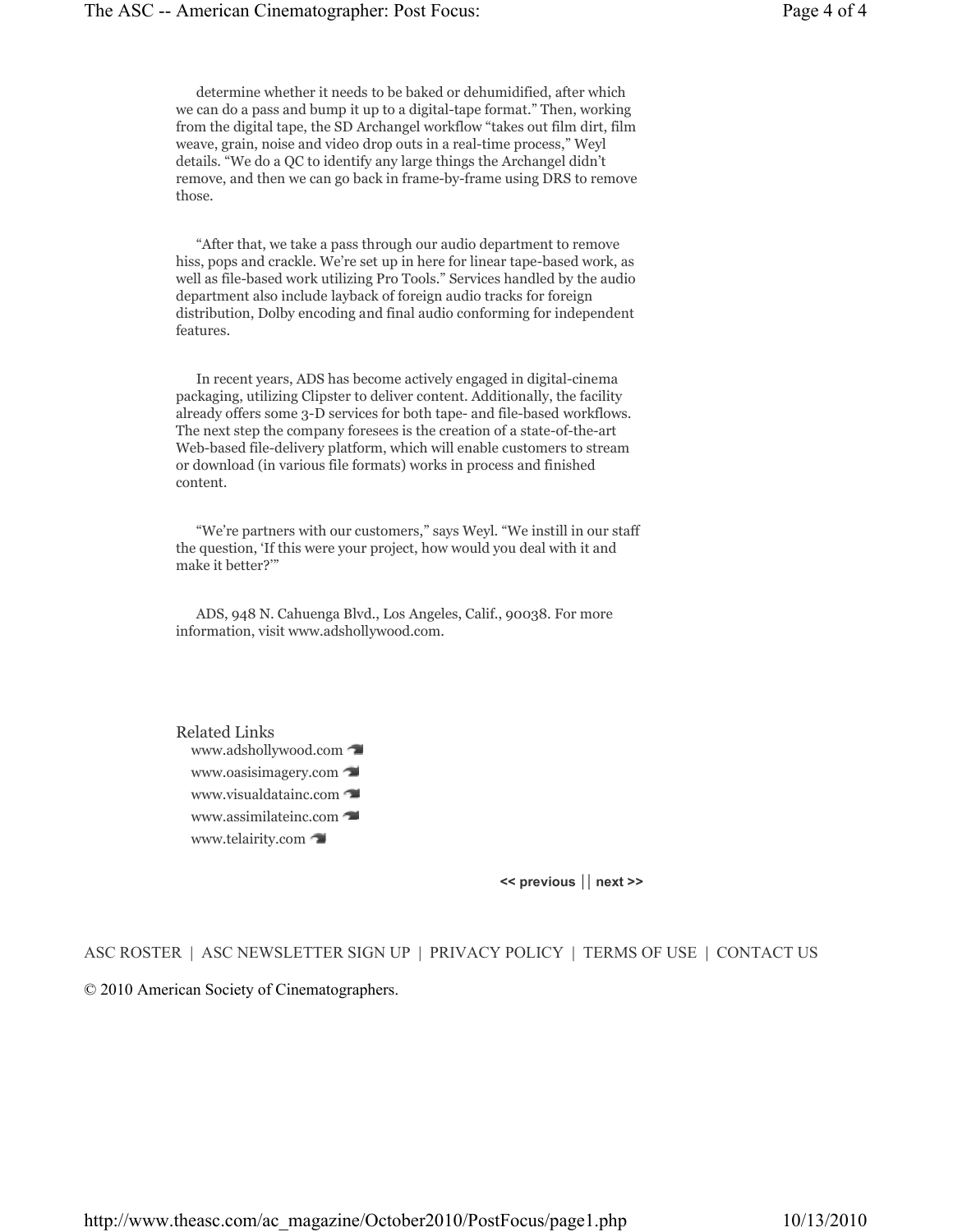determine whether it needs to be baked or dehumidified, after which we can do a pass and bump it up to a digital-tape format." Then, working from the digital tape, the SD Archangel workflow "takes out film dirt, film weave, grain, noise and video drop outs in a real-time process," Weyl details. "We do a QC to identify any large things the Archangel didn't remove, and then we can go back in frame-by-frame using DRS to remove those.

"After that, we take a pass through our audio department to remove hiss, pops and crackle. We're set up in here for linear tape-based work, as well as file-based work utilizing Pro Tools." Services handled by the audio department also include layback of foreign audio tracks for foreign distribution, Dolby encoding and final audio conforming for independent features.

In recent years, ADS has become actively engaged in digital-cinema packaging, utilizing Clipster to deliver content. Additionally, the facility already offers some 3-D services for both tape- and file-based workflows. The next step the company foresees is the creation of a state-of-the-art Web-based file-delivery platform, which will enable customers to stream or download (in various file formats) works in process and finished content.

"We're partners with our customers," says Weyl. "We instill in our staff the question, 'If this were your project, how would you deal with it and make it better?'"

ADS, 948 N. Cahuenga Blvd., Los Angeles, Calif., 90038. For more information, visit www.adshollywood.com.

Related Links www.adshollywood.com www.oasisimagery.com www.visualdatainc.com www.assimilateinc.com www.telairity.com

**<< previous** || **next >>**

ASC ROSTER | ASC NEWSLETTER SIGN UP | PRIVACY POLICY | TERMS OF USE | CONTACT US

© 2010 American Society of Cinematographers.